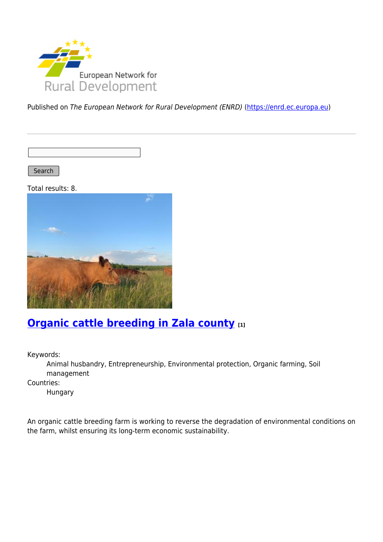

Published on The European Network for Rural Development (ENRD) [\(https://enrd.ec.europa.eu](https://enrd.ec.europa.eu))

Search |

Total results: 8.



## **[Organic cattle breeding in Zala county](https://enrd.ec.europa.eu/projects-practice/organic-cattle-breeding-zala-county_en) [1]**

Keywords:

Animal husbandry, Entrepreneurship, Environmental protection, Organic farming, Soil management

Countries:

Hungary

An organic cattle breeding farm is working to reverse the degradation of environmental conditions on the farm, whilst ensuring its long-term economic sustainability.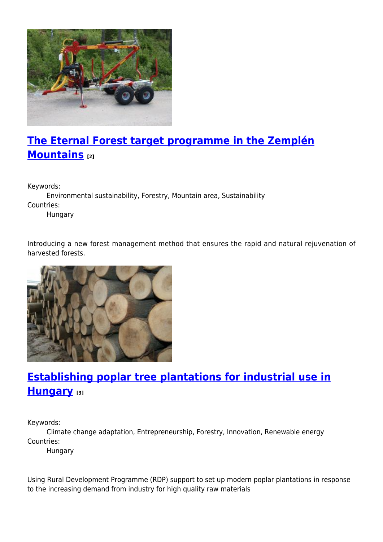

# **[The Eternal Forest target programme in the Zemplén](https://enrd.ec.europa.eu/projects-practice/eternal-forest-target-programme-zemplen-mountains_en) [Mountains](https://enrd.ec.europa.eu/projects-practice/eternal-forest-target-programme-zemplen-mountains_en) [2]**

Keywords:

Environmental sustainability, Forestry, Mountain area, Sustainability Countries:

Hungary

Introducing a new forest management method that ensures the rapid and natural rejuvenation of harvested forests.



## **[Establishing poplar tree plantations for industrial use in](https://enrd.ec.europa.eu/projects-practice/establishing-poplar-tree-plantations-industrial-use-hungary_en) [Hungary](https://enrd.ec.europa.eu/projects-practice/establishing-poplar-tree-plantations-industrial-use-hungary_en) [3]**

Keywords:

Climate change adaptation, Entrepreneurship, Forestry, Innovation, Renewable energy Countries:

Hungary

Using Rural Development Programme (RDP) support to set up modern poplar plantations in response to the increasing demand from industry for high quality raw materials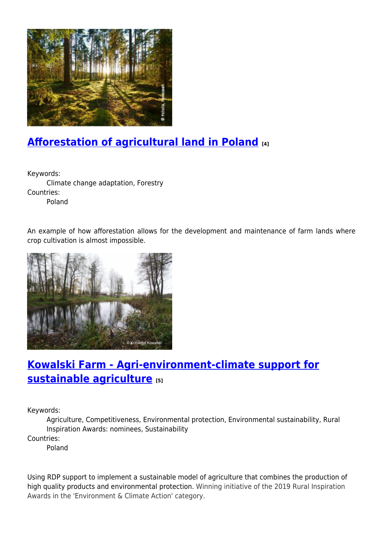

## **[Afforestation of agricultural land in Poland](https://enrd.ec.europa.eu/projects-practice/afforestation-agricultural-land-poland_en) [4]**

Keywords: Climate change adaptation, Forestry Countries: Poland

An example of how afforestation allows for the development and maintenance of farm lands where crop cultivation is almost impossible.



## **[Kowalski Farm - Agri-environment-climate support for](https://enrd.ec.europa.eu/projects-practice/kowalski-farm-agri-environment-climate-support-sustainable-agriculture_en) [sustainable agriculture](https://enrd.ec.europa.eu/projects-practice/kowalski-farm-agri-environment-climate-support-sustainable-agriculture_en) [5]**

Keywords:

Agriculture, Competitiveness, Environmental protection, Environmental sustainability, Rural Inspiration Awards: nominees, Sustainability

Countries:

Poland

Using RDP support to implement a sustainable model of agriculture that combines the production of high quality products and environmental protection. Winning initiative of the 2019 Rural Inspiration Awards in the 'Environment & Climate Action' category.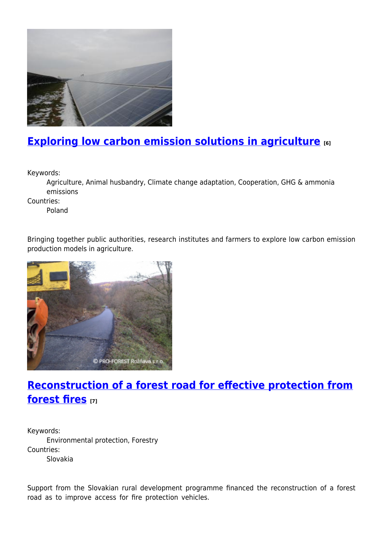

## **[Exploring low carbon emission solutions in agriculture](https://enrd.ec.europa.eu/projects-practice/exploring-low-carbon-emission-solutions-agriculture_en) [6]**

Keywords:

Agriculture, Animal husbandry, Climate change adaptation, Cooperation, GHG & ammonia emissions

Countries:

Poland

Bringing together public authorities, research institutes and farmers to explore low carbon emission production models in agriculture.



## **[Reconstruction of a forest road for effective protection from](https://enrd.ec.europa.eu/projects-practice/reconstruction-forest-road-effective-protection-forest-fires_en) [forest fires](https://enrd.ec.europa.eu/projects-practice/reconstruction-forest-road-effective-protection-forest-fires_en) [7]**

Keywords: Environmental protection, Forestry Countries: Slovakia

Support from the Slovakian rural development programme financed the reconstruction of a forest road as to improve access for fire protection vehicles.